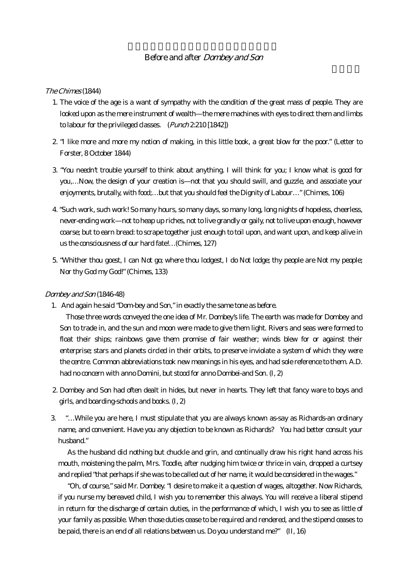## Before and after Dombey and Son

### The Chimes (1844)

- 1. The voice of the age is a want of sympathy with the condition of the great mass of people. They are looked upon as the mere instrument of wealth—the mere machines with eyes to direct them and limbs to labour for the privileged classes. (Punch 2:210 [1842])
- 2. "I like more and more my notion of making, in this little book, a great blow for the poor." (Letter to Forster, 8 October 1844)
- 3. "You needn't trouble yourself to think about anything. I will think for you; I know what is good for you,…Now, the design of your creation is—not that you should swill, and guzzle, and associate your enjoyments, brutally, with food;…but that you should feel the Dignity of Labour…" (Chimes, 106)
- 4. "Such work, such work! So many hours, so many days, so many long, long nights of hopeless, cheerless, never-ending work—not to heap up riches, not to live grandly or gaily, not to live upon enough, however coarse; but to earn bread: to scrape together just enough to toil upon, and want upon, and keep alive in us the consciousness of our hard fate!…(Chimes, 127)
- 5. "Whither thou goest, I can Not go; where thou lodgest, I do Not lodge; thy people are Not my people; Nor thy God my God!" (Chimes, 133)

## Dombey and Son (1846-48)

1. And again he said "Dom-bey and Son," in exactly the same tone as before.

Those three words conveyed the one idea of Mr. Dombey's life. The earth was made for Dombey and Son to trade in, and the sun and moon were made to give them light. Rivers and seas were formed to float their ships; rainbows gave them promise of fair weather; winds blew for or against their enterprise; stars and planets circled in their orbits, to preserve inviolate a system of which they were the centre. Common abbreviations took new meanings in his eyes, and had sole reference to them. A.D. had no concern with anno Domini, but stood for anno Dombei-and Son. (I, 2)

- 2. Dombey and Son had often dealt in hides, but never in hearts. They left that fancy ware to boys and girls, and boarding-schools and books. (I, 2)
- 3. "…While you are here, I must stipulate that you are always known as-say as Richards-an ordinary name, and convenient. Have you any objection to be known as Richards? You had better consult your husband."

As the husband did nothing but chuckle and grin, and continually draw his right hand across his mouth, moistening the palm, Mrs. Toodle, after nudging him twice or thrice in vain, dropped a curtsey and replied "that perhaps if she was to be called out of her name, it would be considered in the wages."

"Oh, of course," said Mr. Dombey. "I desire to make it a question of wages, altogether. Now Richards, if you nurse my bereaved child, I wish you to remember this always. You will receive a liberal stipend in return for the discharge of certain duties, in the performance of which, I wish you to see as little of your family as possible. When those duties cease to be required and rendered, and the stipend ceases to be paid, there is an end of all relations between us. Do you understand me?" (II, 16)